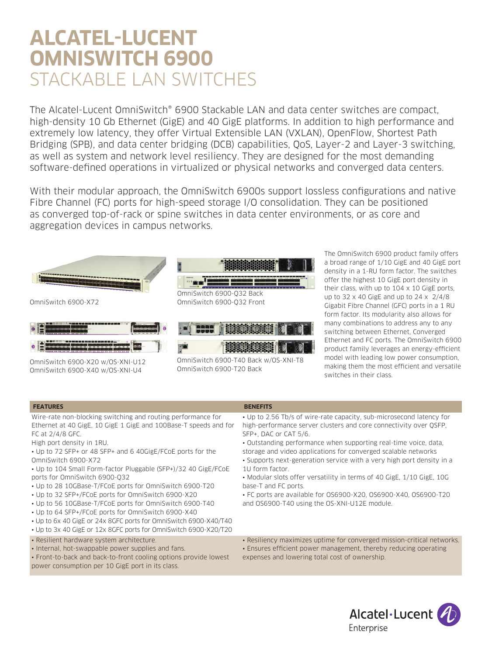# **ALCATEL-LUCENT OMNISWITCH 6900**  STACKABLE LAN SWITCHES

The Alcatel-Lucent OmniSwitch® 6900 Stackable LAN and data center switches are compact, high-density 10 Gb Ethernet (GigE) and 40 GigE platforms. In addition to high performance and extremely low latency, they offer Virtual Extensible LAN (VXLAN), OpenFlow, Shortest Path Bridging (SPB), and data center bridging (DCB) capabilities, QoS, Layer-2 and Layer-3 switching, as well as system and network level resiliency. They are designed for the most demanding software-defined operations in virtualized or physical networks and converged data centers.

With their modular approach, the OmniSwitch 6900s support lossless configurations and native Fibre Channel (FC) ports for high-speed storage I/O consolidation. They can be positioned as converged top-of-rack or spine switches in data center environments, or as core and aggregation devices in campus networks.



OmniSwitch 6900-T20 Back

The OmniSwitch 6900 product family offers a broad range of 1/10 GigE and 40 GigE port density in a 1-RU form factor. The switches offer the highest 10 GigE port density in their class, with up to  $104 \times 10$  GigE ports, up to 32 x 40 GigE and up to 24 x 2/4/8 Gigabit Fibre Channel (GFC) ports in a 1 RU form factor. Its modularity also allows for many combinations to address any to any switching between Ethernet, Converged Ethernet and FC ports. The OmniSwitch 6900 product family leverages an energy-efficient model with leading low power consumption, making them the most efficient and versatile switches in their class.

#### **FEATURES BENEFITS**

Wire-rate non-blocking switching and routing performance for Ethernet at 40 GigE, 10 GigE 1 GigE and 100Base-T speeds and for FC at 2/4/8 GFC.

High port density in 1RU.

OmniSwitch 6900-X40 w/OS-XNI-U4

- Up to 72 SFP+ or 48 SFP+ and 6 40GigE/FCoE ports for the OmniSwitch 6900-X72
- Up to 104 Small Form-factor Pluggable (SFP+)/32 40 GigE/FCoE ports for OmniSwitch 6900-Q32
- Up to 28 10GBase-T/FCoE ports for OmniSwitch 6900-T20
- Up to 32 SFP+/FCoE ports for OmniSwitch 6900-X20
- Up to 56 10GBase-T/FCoE ports for OmniSwitch 6900-T40
- Up to 64 SFP+/FCoE ports for OmniSwitch 6900-X40
- Up to 6x 40 GigE or 24x 8GFC ports for OmniSwitch 6900-X40/T40
- Up to 3x 40 GigE or 12x 8GFC ports for OmniSwitch 6900-X20/T20
- Resilient hardware system architecture.
- Internal, hot-swappable power supplies and fans.

• Front-to-back and back-to-front cooling options provide lowest power consumption per 10 GigE port in its class.

- Up to 2.56 Tb/s of wire-rate capacity, sub-microsecond latency for high-performance server clusters and core connectivity over QSFP, SFP+, DAC or CAT 5/6.
- Outstanding performance when supporting real-time voice, data,
- storage and video applications for converged scalable networks
- Supports next-generation service with a very high port density in a 1U form factor.
- Modular slots offer versatility in terms of 40 GigE, 1/10 GigE, 10G base-T and FC ports.
- FC ports are available for OS6900-X20, OS6900-X40, OS6900-T20 and OS6900-T40 using the OS-XNI-U12E module.
- Resiliency maximizes uptime for converged mission-critical networks.
- Ensures efficient power management, thereby reducing operating expenses and lowering total cost of ownership.

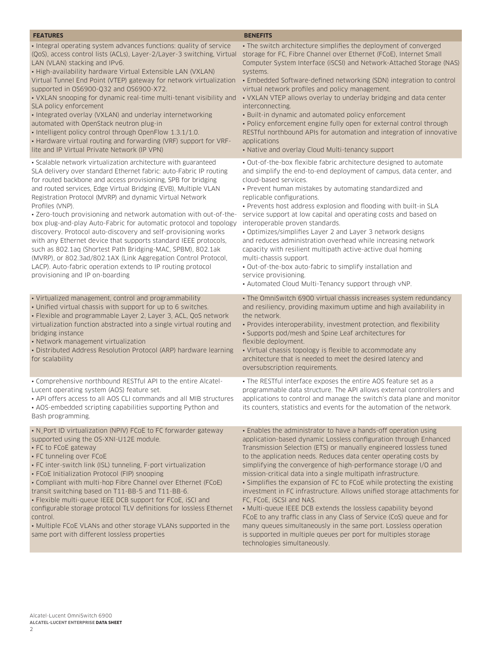#### **FEATURES BENEFITS** • Integral operating system advances functions: quality of service (QoS), access control lists (ACLs), Layer-2/Layer-3 switching, Virtual LAN (VLAN) stacking and IPv6. • High-availability hardware Virtual Extensible LAN (VXLAN) Virtual Tunnel End Point (VTEP) gateway for network virtualization supported in OS6900-Q32 and OS6900-X72. • VXLAN snooping for dynamic real-time multi-tenant visibility and SLA policy enforcement • Integrated overlay (VXLAN) and underlay internetworking automated with OpenStack neutron plug-in • Intelligent policy control through OpenFlow 1.3.1/1.0. • Hardware virtual routing and forwarding (VRF) support for VRFlite and IP Virtual Private Network (IP VPN) • The switch architecture simplifies the deployment of converged storage for FC, Fibre Channel over Ethernet (FCoE), Internet Small Computer System Interface (iSCSI) and Network-Attached Storage (NAS) systems. • Embedded Software-defined networking (SDN) integration to control virtual network profiles and policy management. • VXLAN VTEP allows overlay to underlay bridging and data center interconnecting. • Built-in dynamic and automated policy enforcement • Policy enforcement engine fully open for external control through RESTful northbound APIs for automation and integration of innovative applications • Native and overlay Cloud Multi-tenancy support • Scalable network virtualization architecture with guaranteed SLA delivery over standard Ethernet fabric: auto-Fabric IP routing for routed backbone and access provisioning, SPB for bridging and routed services, Edge Virtual Bridging (EVB), Multiple VLAN Registration Protocol (MVRP) and dynamic Virtual Network Profiles (VNP). • Zero-touch provisioning and network automation with out-of-thebox plug-and-play Auto-Fabric for automatic protocol and topology discovery. Protocol auto-discovery and self-provisioning works with any Ethernet device that supports standard IEEE protocols, such as 802.1aq (Shortest Path Bridging-MAC, SPBM), 802.1ak (MVRP), or 802.3ad/802.1AX (Link Aggregation Control Protocol, LACP). Auto-fabric operation extends to IP routing protocol provisioning and IP on-boarding • Out-of-the-box flexible fabric architecture designed to automate and simplify the end-to-end deployment of campus, data center, and cloud-based services. • Prevent human mistakes by automating standardized and replicable configurations. • Prevents host address explosion and flooding with built-in SLA service support at low capital and operating costs and based on interoperable proven standards. • Optimizes/simplifies Layer 2 and Layer 3 network designs and reduces administration overhead while increasing network capacity with resilient multipath active-active dual homing multi-chassis support. • Out-of-the-box auto-fabric to simplify installation and service provisioning. • Automated Cloud Multi-Tenancy support through vNP. • Virtualized management, control and programmability • Unified virtual chassis with support for up to 6 switches. • Flexible and programmable Layer 2, Layer 3, ACL, QoS network virtualization function abstracted into a single virtual routing and bridging instance • Network management virtualization • Distributed Address Resolution Protocol (ARP) hardware learning for scalability • The OmniSwitch 6900 virtual chassis increases system redundancy and resiliency, providing maximum uptime and high availability in the network. • Provides interoperability, investment protection, and flexibility • Supports pod/mesh and Spine Leaf architectures for flexible deployment. • Virtual chassis topology is flexible to accommodate any architecture that is needed to meet the desired latency and oversubscription requirements. • Comprehensive northbound RESTful API to the entire Alcatel-Lucent operating system (AOS) feature set. • API offers access to all AOS CLI commands and all MIB structures • AOS-embedded scripting capabilities supporting Python and Bash programming. • The RESTful interface exposes the entire AOS feature set as a programmable data structure. The API allows external controllers and applications to control and manage the switch's data plane and monitor its counters, statistics and events for the automation of the network. • N\_Port ID virtualization (NPIV) FCoE to FC forwarder gateway supported using the OS-XNI-U12E module. • FC to FCoE gateway • FC tunneling over FCoE • FC inter-switch link (ISL) tunneling, F-port virtualization • FCoE Initialization Protocol (FIP) snooping • Compliant with multi-hop Fibre Channel over Ethernet (FCoE) transit switching based on T11-BB-5 and T11-BB-6. • Flexible multi-queue IEEE DCB support for FCoE, iSCI and configurable storage protocol TLV definitions for lossless Ethernet control. • Multiple FCoE VLANs and other storage VLANs supported in the same port with different lossless properties • Enables the administrator to have a hands-off operation using application-based dynamic Lossless configuration through Enhanced Transmission Selection (ETS) or manually engineered lossless tuned to the application needs. Reduces data center operating costs by simplifying the convergence of high-performance storage I/O and mission-critical data into a single multipath infrastructure. • Simplifies the expansion of FC to FCoE while protecting the existing investment in FC infrastructure. Allows unified storage attachments for FC, FCoE, iSCSI and NAS. • Multi-queue IEEE DCB extends the lossless capability beyond FCoE to any traffic class in any Class of Service (CoS) queue and for many queues simultaneously in the same port. Lossless operation is supported in multiple queues per port for multiples storage

technologies simultaneously.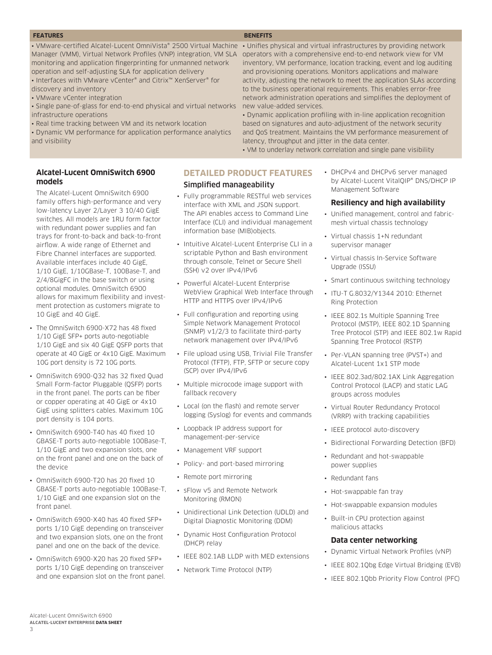#### **FEATURES BENEFITS**

**DETAILED PRODUCT FEATURES**

• Fully programmable RESTful web services interface with XML and JSON support. The API enables access to Command Line Interface (CLI) and individual management

• Intuitive Alcatel-Lucent Enterprise CLI in a scriptable Python and Bash environment through console, Telnet or Secure Shell

WebView Graphical Web Interface through

Simplified manageability

information base (MIB)objects.

• Powerful Alcatel-Lucent Enterprise

HTTP and HTTPS over IPv4/IPv6 • Full configuration and reporting using Simple Network Management Protocol (SNMP) v1/2/3 to facilitate third-party network management over IPv4/IPv6 • File upload using USB, Trivial File Transfer Protocol (TFTP), FTP, SFTP or secure copy

• Multiple microcode image support with

• Local (on the flash) and remote server logging (Syslog) for events and commands

• Loopback IP address support for management-per-service • Management VRF support

• Policy- and port-based mirroring

• sFlow v5 and Remote Network

• Network Time Protocol (NTP)

• Unidirectional Link Detection (UDLD) and Digital Diagnostic Monitoring (DDM) • Dynamic Host Configuration Protocol

• IEEE 802.1AB LLDP with MED extensions

• Remote port mirroring

Monitoring (RMON)

(DHCP) relay

(SSH) v2 over IPv4/IPv6

(SCP) over IPv4/IPv6

fallback recovery

• VMware-certified Alcatel-Lucent OmniVista® 2500 Virtual Machine •Unifies physical and virtual infrastructures by providing network Manager (VMM), Virtual Network Profiles (VNP) integration, VM SLA operators with a comprehensive end-to-end network view for VM monitoring and application fingerprinting for unmanned network operation and self-adjusting SLA for application delivery

• Interfaces with VMware vCenter® and Citrix™ XenServer® for discovery and inventory

- VMware vCenter integration
- Single pane-of-glass for end-to-end physical and virtual networks infrastructure operations
- Real time tracking between VM and its network location

• Dynamic VM performance for application performance analytics and visibility

# **Alcatel-Lucent OmniSwitch 6900 models**

The Alcatel-Lucent OmniSwitch 6900 family offers high-performance and very low-latency Layer 2/Layer 3 10/40 GigE switches. All models are 1RU form factor with redundant power supplies and fan trays for front-to-back and back-to-front airflow. A wide range of Ethernet and Fibre Channel interfaces are supported. Available interfaces include 40 GigE, 1/10 GigE, 1/10GBase-T, 100Base-T, and 2/4/8GigFC in the base switch or using optional modules. OmniSwitch 6900 allows for maximum flexibility and investment protection as customers migrate to 10 GigE and 40 GigE.

- The OmniSwitch 6900-X72 has 48 fixed 1/10 GigE SFP+ ports auto-negotiable 1/10 GigE and six 40 GigE QSFP ports that operate at 40 GigE or 4x10 GigE. Maximum 10G port density is 72 10G ports.
- OmniSwitch 6900-Q32 has 32 fixed Quad Small Form-factor Pluggable (QSFP) ports in the front panel. The ports can be fiber or copper operating at 40 GigE or 4x10 GigE using splitters cables. Maximum 10G port density is 104 ports.
- OmniSwitch 6900-T40 has 40 fixed 10 GBASE-T ports auto-negotiable 100Base-T, 1/10 GigE and two expansion slots, one on the front panel and one on the back of the device
- OmniSwitch 6900-T20 has 20 fixed 10 GBASE-T ports auto-negotiable 100Base-T, 1/10 GigE and one expansion slot on the front panel.
- OmniSwitch 6900-X40 has 40 fixed SFP+ ports 1/10 GigE depending on transceiver and two expansion slots, one on the front panel and one on the back of the device.
- OmniSwitch 6900-X20 has 20 fixed SFP+ ports 1/10 GigE depending on transceiver and one expansion slot on the front panel.

inventory, VM performance, location tracking, event and log auditing and provisioning operations. Monitors applications and malware activity, adjusting the network to meet the application SLAs according to the business operational requirements. This enables error-free network administration operations and simplifies the deployment of new value-added services.

• Dynamic application profiling with in-line application recognition based on signatures and auto-adjustment of the network security and QoS treatment. Maintains the VM performance measurement of latency, throughput and jitter in the data center.

• VM to underlay network correlation and single pane visibility

• DHCPv4 and DHCPv6 server managed by Alcatel-Lucent VitalQIP® DNS/DHCP IP Management Software

# **Resiliency and high availability**

- Unified management, control and fabricmesh virtual chassis technology
- Virtual chassis 1+N redundant supervisor manager
- Virtual chassis In-Service Software Upgrade (ISSU)
- Smart continuous switching technology
- ITU-T G.8032/Y1344 2010: Ethernet Ring Protection
- IEEE 802.1s Multiple Spanning Tree Protocol (MSTP), IEEE 802.1D Spanning Tree Protocol (STP) and IEEE 802.1w Rapid Spanning Tree Protocol (RSTP)
- Per-VLAN spanning tree (PVST+) and Alcatel-Lucent 1x1 STP mode
- IEEE 802.3ad/802.1AX Link Aggregation Control Protocol (LACP) and static LAG groups across modules
- Virtual Router Redundancy Protocol (VRRP) with tracking capabilities
- IEEE protocol auto-discovery
- Bidirectional Forwarding Detection (BFD)
- Redundant and hot-swappable power supplies
- Redundant fans
- Hot-swappable fan tray
- Hot-swappable expansion modules
- Built-in CPU protection against malicious attacks

# **Data center networking**

- Dynamic Virtual Network Profiles (vNP)
- IEEE 802.1Qbg Edge Virtual Bridging (EVB)
- IEEE 802.1Qbb Priority Flow Control (PFC)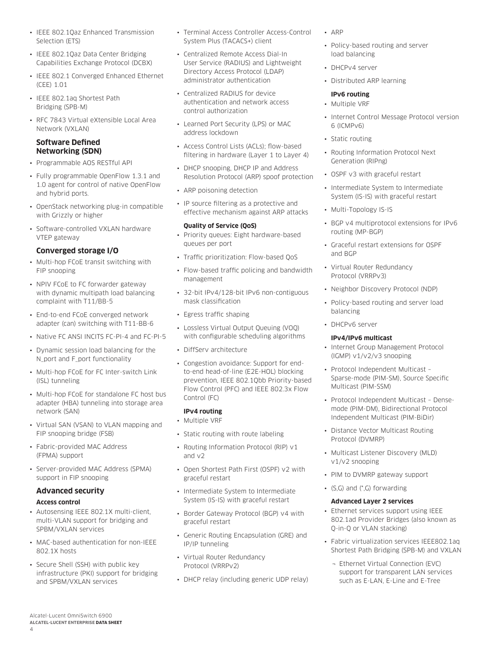- IEEE 802.1Qaz Enhanced Transmission Selection (ETS)
- IEEE 802.1Qaz Data Center Bridging Capabilities Exchange Protocol (DCBX)
- IEEE 802.1 Converged Enhanced Ethernet (CEE) 1.01
- IEEE 802.1aq Shortest Path Bridging (SPB-M)
- RFC 7843 Virtual eXtensible Local Area Network (VXLAN)

# **Software Defined Networking (SDN)**

- Programmable AOS RESTful API
- Fully programmable OpenFlow 1.3.1 and 1.0 agent for control of native OpenFlow and hybrid ports.
- OpenStack networking plug-in compatible with Grizzly or higher
- Software-controlled VXLAN hardware VTEP gateway

# **Converged storage I/O**

- Multi-hop FCoE transit switching with FIP snooping
- NPIV FCoE to FC forwarder gateway with dynamic multipath load balancing complaint with T11/BB-5
- End-to-end FCoE converged network adapter (can) switching with T11-BB-6
- Native FC ANSI INCITS FC-PI-4 and FC-PI-5
- Dynamic session load balancing for the N\_port and F\_port functionality
- Multi-hop FCoE for FC Inter-switch Link (ISL) tunneling
- Multi-hop FCoE for standalone FC host bus adapter (HBA) tunneling into storage area network (SAN)
- Virtual SAN (VSAN) to VLAN mapping and FIP snooping bridge (FSB)
- Fabric-provided MAC Address (FPMA) support
- Server-provided MAC Address (SPMA) support in FIP snooping

# **Advanced security Access control**

- Autosensing IEEE 802.1X multi-client, multi-VLAN support for bridging and SPBM/VXLAN services
- MAC-based authentication for non-IEEE 802.1X hosts
- Secure Shell (SSH) with public key infrastructure (PKI) support for bridging and SPBM/VXLAN services
- Terminal Access Controller Access-Control System Plus (TACACS+) client
- Centralized Remote Access Dial-In User Service (RADIUS) and Lightweight Directory Access Protocol (LDAP) administrator authentication
- Centralized RADIUS for device authentication and network access control authorization
- Learned Port Security (LPS) or MAC address lockdown
- Access Control Lists (ACLs); flow-based filtering in hardware (Layer 1 to Layer 4)
- DHCP snooping, DHCP IP and Address Resolution Protocol (ARP) spoof protection
- ARP poisoning detection
- IP source filtering as a protective and effective mechanism against ARP attacks

# **Quality of Service (QoS)**

- Priority queues: Eight hardware-based queues per port
- Traffic prioritization: Flow-based QoS
- Flow-based traffic policing and bandwidth management
- 32-bit IPv4/128-bit IPv6 non-contiguous mask classification
- Egress traffic shaping
- Lossless Virtual Output Queuing (VOQ) with configurable scheduling algorithms
- DiffServ architecture
- Congestion avoidance: Support for endto-end head-of-line (E2E-HOL) blocking prevention, IEEE 802.1Qbb Priority-based Flow Control (PFC) and IEEE 802.3x Flow Control (FC)

#### **IPv4 routing** • Multiple VRF

- Static routing with route labeling
- Routing Information Protocol (RIP) v1 and v2
- Open Shortest Path First (OSPF) v2 with graceful restart
- Intermediate System to Intermediate System (IS-IS) with graceful restart
- Border Gateway Protocol (BGP) v4 with graceful restart
- Generic Routing Encapsulation (GRE) and IP/IP tunneling
- Virtual Router Redundancy Protocol (VRRPv2)
- DHCP relay (including generic UDP relay)
- ARP
- Policy-based routing and server load balancing
- DHCPv4 server
- Distributed ARP learning

# **IPv6 routing**

- Multiple VRF
- Internet Control Message Protocol version 6 (ICMPv6)
- Static routing
- Routing Information Protocol Next Generation (RIPng)
- OSPF v3 with graceful restart
- Intermediate System to Intermediate System (IS-IS) with graceful restart
- Multi-Topology IS-IS
- BGP v4 multiprotocol extensions for IPv6 routing (MP-BGP)
- Graceful restart extensions for OSPF and BGP
- Virtual Router Redundancy Protocol (VRRPv3)
- Neighbor Discovery Protocol (NDP)
- Policy-based routing and server load balancing
- DHCPv6 server

# **IPv4/IPv6 multicast**

- Internet Group Management Protocol (IGMP) v1/v2/v3 snooping
- Protocol Independent Multicast Sparse-mode (PIM-SM), Source Specific Multicast (PIM-SSM)
- Protocol Independent Multicast Densemode (PIM-DM), Bidirectional Protocol Independent Multicast (PIM-BiDir)
- Distance Vector Multicast Routing Protocol (DVMRP)
- Multicast Listener Discovery (MLD) v1/v2 snooping
- PIM to DVMRP gateway support
- (S,G) and (\*,G) forwarding

# **Advanced Layer 2 services**

- Ethernet services support using IEEE 802.1ad Provider Bridges (also known as Q-in-Q or VLAN stacking)
- Fabric virtualization services IEEE802.1aq Shortest Path Bridging (SPB-M) and VXLAN
	- ¬ Ethernet Virtual Connection (EVC) support for transparent LAN services such as E-LAN, E-Line and E-Tree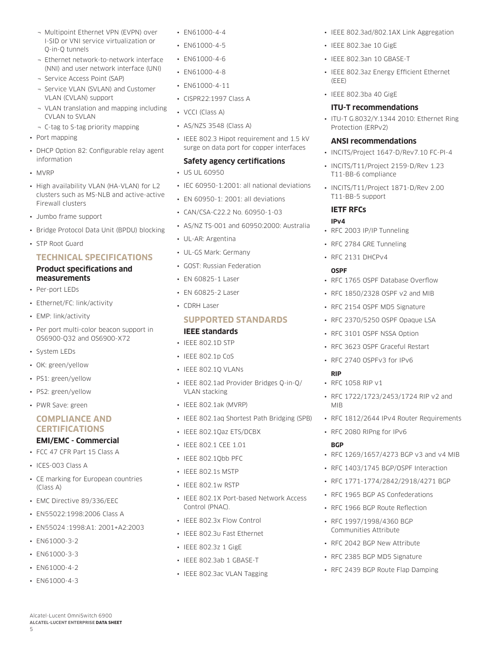- ¬ Multipoint Ethernet VPN (EVPN) over I-SID or VNI service virtualization or Q-in-Q tunnels
- ¬ Ethernet network-to-network interface (NNI) and user network interface (UNI)
- ¬ Service Access Point (SAP)
- ¬ Service VLAN (SVLAN) and Customer VLAN (CVLAN) support
- ¬ VLAN translation and mapping including CVLAN to SVLAN
- ¬ C-tag to S-tag priority mapping
- Port mapping
- DHCP Option 82: Configurable relay agent information
- MVRP
- High availability VLAN (HA-VLAN) for L2 clusters such as MS-NLB and active-active Firewall clusters
- Jumbo frame support
- Bridge Protocol Data Unit (BPDU) blocking
- STP Root Guard

# **TECHNICAL SPECIFICATIONS**

# **Product specifications and measurements**

- Per-port LEDs
- Ethernet/FC: link/activity
- EMP: link/activity
- Per port multi-color beacon support in OS6900-Q32 and OS6900-X72
- System LEDs
- OK: green/yellow
- PS1: green/yellow
- PS2: green/yellow
- PWR Save: green

# **COMPLIANCE AND CERTIFICATIONS**

# **EMI/EMC - Commercial**

- FCC 47 CFR Part 15 Class A
- ICES-003 Class A
- CE marking for European countries (Class A)
- EMC Directive 89/336/EEC
- EN55022:1998:2006 Class A
- EN55024 :1998:A1: 2001+A2:2003
- EN61000-3-2
- EN61000-3-3
- EN61000-4-2
- EN61000-4-3

Alcatel-Lucent OmniSwitch 6900 **ALCATEL-LUCENT ENTERPRISE DATA SHEET**

5

- EN61000-4-4
- FN61000-4-5
- EN61000-4-6
- EN61000-4-8
- EN61000-4-11
- CISPR22:1997 Class A
- VCCI (Class A)
- AS/NZS 3548 (Class A)
- IEEE 802.3 Hipot requirement and 1.5 kV surge on data port for copper interfaces

# **Safety agency certifications**

- US UL 60950
- IEC 60950-1:2001: all national deviations
- EN 60950-1: 2001: all deviations
- CAN/CSA-C22.2 No. 60950-1-03
- AS/NZ TS-001 and 60950:2000: Australia
- UL-AR: Argentina
- UL-GS Mark: Germany
- GOST: Russian Federation
- EN 60825-1 Laser
- EN 60825-2 Laser
- CDRH Laser

# **SUPPORTED STANDARDS**

# **IEEE standards**

- IEEE 802.1D STP
- IEEE 802.1p CoS
- IEEE 802.1Q VLANs
- IEEE 802.1ad Provider Bridges Q-in-Q/ VLAN stacking
- IEEE 802.1ak (MVRP)
- IEEE 802.1aq Shortest Path Bridging (SPB)
- IEEE 802.1Qaz ETS/DCBX
- IEEE 802.1 CEE 1.01
- IEEE 802.1Qbb PFC
- IEEE 802.1s MSTP
- IEEE 802.1w RSTP
- IEEE 802.1X Port-based Network Access Control (PNAC).
- IEEE 802.3x Flow Control
- IEEE 802.3u Fast Ethernet
- IEEE 802.3z 1 GigE
- IEEE 802.3ab 1 GBASE-T
- IEEE 802.3ac VLAN Tagging
- IEEE 802.3ad/802.1AX Link Aggregation
- IEEE 802.3ae 10 GigE
- IEEE 802.3an 10 GBASE-T
- IEEE 802.3az Energy Efficient Ethernet (EEE)
- IEEE 802.3ba 40 GigE

# **ITU-T recommendations**

• ITU-T G.8032/Y.1344 2010: Ethernet Ring Protection (ERPv2)

### **ANSI recommendations**

- INCITS/Project 1647-D/Rev7.10 FC-PI-4
- INCITS/T11/Project 2159-D/Rev 1.23 T11-BB-6 compliance
- INCITS/T11/Project 1871-D/Rev 2.00 T11-BB-5 support

# **IETF RFCs**

# **IPv4**

- RFC 2003 IP/IP Tunneling
- RFC 2784 GRE Tunneling
- RFC 2131 DHCPv4

### **OSPF**

**RIP**

MIB

**BGP**

• RFC 1058 RIP v1

- RFC 1765 OSPF Database Overflow
- RFC 1850/2328 OSPF v2 and MIB
- RFC 2154 OSPF MD5 Signature
- RFC 2370/5250 OSPF Opaque LSA
- RFC 3101 OSPF NSSA Option
- RFC 3623 OSPF Graceful Restart

• RFC 1722/1723/2453/1724 RIP v2 and

• RFC 1812/2644 IPv4 Router Requirements

• RFC 1269/1657/4273 BGP v3 and v4 MIB • RFC 1403/1745 BGP/OSPF Interaction • RFC 1771-1774/2842/2918/4271 BGP • RFC 1965 BGP AS Confederations • RFC 1966 BGP Route Reflection • RFC 1997/1998/4360 BGP Communities Attribute • RFC 2042 BGP New Attribute • RFC 2385 BGP MD5 Signature • RFC 2439 BGP Route Flap Damping

• RFC 2740 OSPFv3 for IPv6

• RFC 2080 RIPng for IPv6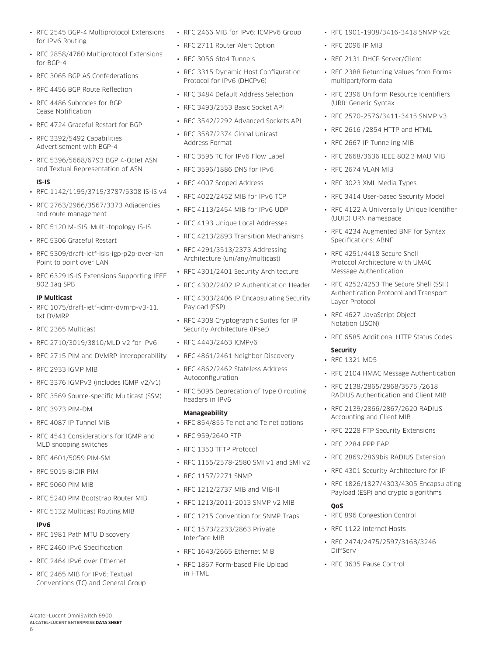- RFC 2545 BGP-4 Multiprotocol Extensions for IPv6 Routing
- RFC 2858/4760 Multiprotocol Extensions for BGP-4
- RFC 3065 BGP AS Confederations
- RFC 4456 BGP Route Reflection
- RFC 4486 Subcodes for BGP Cease Notification
- RFC 4724 Graceful Restart for BGP
- RFC 3392/5492 Capabilities Advertisement with BGP-4
- RFC 5396/5668/6793 BGP 4-Octet ASN and Textual Representation of ASN

### **IS-IS**

- RFC 1142/1195/3719/3787/5308 IS-IS v4
- RFC 2763/2966/3567/3373 Adjacencies and route management
- RFC 5120 M-ISIS: Multi-topology IS-IS
- RFC 5306 Graceful Restart
- RFC 5309/draft-ietf-isis-igp-p2p-over-lan Point to point over LAN
- RFC 6329 IS-IS Extensions Supporting IEEE 802.1aq SPB

## **IP Multicast**

- RFC 1075/draft-ietf-idmr-dvmrp-v3-11. txt DVMRP
- RFC 2365 Multicast
- RFC 2710/3019/3810/MLD v2 for IPv6
- RFC 2715 PIM and DVMRP interoperability
- RFC 2933 IGMP MIB
- RFC 3376 IGMPv3 (includes IGMP v2/v1)
- RFC 3569 Source-specific Multicast (SSM)
- RFC 3973 PIM-DM
- RFC 4087 IP Tunnel MIB
- RFC 4541 Considerations for IGMP and MLD snooping switches
- RFC 4601/5059 PIM-SM
- RFC 5015 BiDIR PIM
- RFC 5060 PIM MIB
- RFC 5240 PIM Bootstrap Router MIB
- RFC 5132 Multicast Routing MIB

# **IPv6**

6

- RFC 1981 Path MTU Discovery
- RFC 2460 IPv6 Specification
- RFC 2464 IPv6 over Ethernet

Alcatel-Lucent OmniSwitch 6900 **ALCATEL-LUCENT ENTERPRISE DATA SHEET**

• RFC 2465 MIB for IPv6: Textual Conventions (TC) and General Group

- RFC 2466 MIB for IPv6: ICMPv6 Group
- RFC 2711 Router Alert Option
- RFC 3056 6to4 Tunnels
- RFC 3315 Dynamic Host Configuration Protocol for IPv6 (DHCPv6)
- RFC 3484 Default Address Selection
- RFC 3493/2553 Basic Socket API
- RFC 3542/2292 Advanced Sockets API
- RFC 3587/2374 Global Unicast Address Format
- RFC 3595 TC for IPv6 Flow Label
- RFC 3596/1886 DNS for IPv6
- RFC 4007 Scoped Address
- RFC 4022/2452 MIB for IPv6 TCP
- RFC 4113/2454 MIB for IPv6 UDP
- RFC 4193 Unique Local Addresses
- RFC 4213/2893 Transition Mechanisms
- RFC 4291/3513/2373 Addressing Architecture (uni/any/multicast)
- RFC 4301/2401 Security Architecture
- RFC 4302/2402 IP Authentication Header
- RFC 4303/2406 IP Encapsulating Security Payload (ESP)
- RFC 4308 Cryptographic Suites for IP Security Architecture (IPsec)
- RFC 4443/2463 ICMPv6
- RFC 4861/2461 Neighbor Discovery
- RFC 4862/2462 Stateless Address Autoconfiguration
- RFC 5095 Deprecation of type 0 routing headers in IPv6

# **Manageability**

- RFC 854/855 Telnet and Telnet options
- RFC 959/2640 FTP
- RFC 1350 TFTP Protocol
- RFC 1155/2578-2580 SMI v1 and SMI v2
- RFC 1157/2271 SNMP
- RFC 1212/2737 MIB and MIB-II
- RFC 1213/2011-2013 SNMP v2 MIB
- RFC 1215 Convention for SNMP Traps
- RFC 1573/2233/2863 Private Interface MIB
- RFC 1643/2665 Ethernet MIB
- RFC 1867 Form-based File Upload in HTML
- RFC 1901-1908/3416-3418 SNMP v2c
- RFC 2096 IP MIB
- RFC 2131 DHCP Server/Client
- RFC 2388 Returning Values from Forms: multipart/form-data
- RFC 2396 Uniform Resource Identifiers (URI): Generic Syntax
- RFC 2570-2576/3411-3415 SNMP v3
- RFC 2616 /2854 HTTP and HTML
- RFC 2667 IP Tunneling MIB
- RFC 2668/3636 IEEE 802.3 MAU MIB
- RFC 2674 VLAN MIB
- RFC 3023 XML Media Types
- RFC 3414 User-based Security Model
- RFC 4122 A Universally Unique Identifier (UUID) URN namespace
- RFC 4234 Augmented BNF for Syntax Specifications: ABNF
- RFC 4251/4418 Secure Shell Protocol Architecture with UMAC Message Authentication
- RFC 4252/4253 The Secure Shell (SSH) Authentication Protocol and Transport Layer Protocol
- RFC 4627 JavaScript Object Notation (JSON)
- RFC 6585 Additional HTTP Status Codes

#### **Security**

- RFC 1321 MD5
- RFC 2104 HMAC Message Authentication
- RFC 2138/2865/2868/3575 /2618 RADIUS Authentication and Client MIB
- RFC 2139/2866/2867/2620 RADIUS Accounting and Client MIB
- RFC 2228 FTP Security Extensions
- RFC 2284 PPP EAP

**QoS**

DiffServ

- RFC 2869/2869bis RADIUS Extension
- RFC 4301 Security Architecture for IP

• RFC 896 Congestion Control • RFC 1122 Internet Hosts

• RFC 3635 Pause Control

• RFC 2474/2475/2597/3168/3246

• RFC 1826/1827/4303/4305 Encapsulating Payload (ESP) and crypto algorithms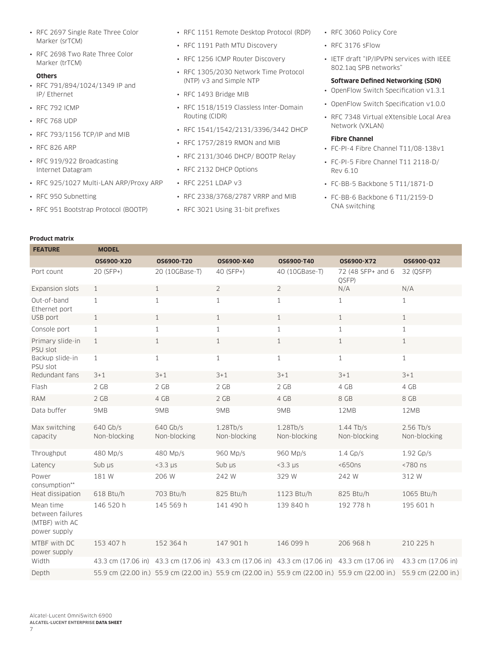- RFC 2697 Single Rate Three Color Marker (srTCM)
- RFC 2698 Two Rate Three Color Marker (trTCM)

#### **Others**

- RFC 791/894/1024/1349 IP and IP/ Ethernet
- RFC 792 ICMP
- RFC 768 UDP
- RFC 793/1156 TCP/IP and MIB
- RFC 826 ARP
- RFC 919/922 Broadcasting Internet Datagram
- RFC 925/1027 Multi-LAN ARP/Proxy ARP
- RFC 950 Subnetting

**Product matrix**

• RFC 951 Bootstrap Protocol (BOOTP)

- RFC 1151 Remote Desktop Protocol (RDP)
- RFC 1191 Path MTU Discovery
- RFC 1256 ICMP Router Discovery
- RFC 1305/2030 Network Time Protocol (NTP) v3 and Simple NTP
- RFC 1493 Bridge MIB
- RFC 1518/1519 Classless Inter-Domain Routing (CIDR)
- RFC 1541/1542/2131/3396/3442 DHCP
- RFC 1757/2819 RMON and MIB
- RFC 2131/3046 DHCP/ BOOTP Relay
- RFC 2132 DHCP Options
- RFC 2251 LDAP v3
- RFC 2338/3768/2787 VRRP and MIB
- RFC 3021 Using 31-bit prefixes
- RFC 3060 Policy Core
- RFC 3176 sFlow
- IETF draft "IP/IPVPN services with IEEE 802.1aq SPB networks"
- **Software Defined Networking (SDN)**
- OpenFlow Switch Specification v1.3.1
- OpenFlow Switch Specification v1.0.0
- RFC 7348 Virtual eXtensible Local Area Network (VXLAN)

### **Fibre Channel**

- FC-PI-4 Fibre Channel T11/08-138v1
- FC-PI-5 Fibre Channel T11 2118-D/ Rev 6.10
- FC-BB-5 Backbone 5 T11/1871-D
- FC-BB-6 Backbone 6 T11/2159-D CNA switching

| <b>FEATURE</b>                                                  | <b>MODEL</b>             |                          |                          |                                                                                                |                                                                                                     |                             |
|-----------------------------------------------------------------|--------------------------|--------------------------|--------------------------|------------------------------------------------------------------------------------------------|-----------------------------------------------------------------------------------------------------|-----------------------------|
|                                                                 | OS6900-X20               | OS6900-T20               | OS6900-X40               | OS6900-T40                                                                                     | OS6900-X72                                                                                          | OS6900-Q32                  |
| Port count                                                      | 20 (SFP+)                | 20 (10GBase-T)           | 40 (SFP+)                | 40 (10GBase-T)                                                                                 | 72 (48 SFP+ and 6<br>QSFP)                                                                          | 32 (OSFP)                   |
| Expansion slots                                                 | $\mathbf{1}$             | 1                        | $\overline{2}$           | $\overline{2}$                                                                                 | N/A                                                                                                 | N/A                         |
| Out-of-band<br>Ethernet port                                    | $\mathbf{1}$             | $\mathbf{1}$             | $\mathbf{1}$             | $\mathbf{1}$                                                                                   | $\mathbf{1}$                                                                                        | $\mathbf{1}$                |
| USB port                                                        | $\mathbf{1}$             | 1                        | $\mathbf{1}$             | $\mathbf{1}$                                                                                   | $\mathbf{1}$                                                                                        | 1                           |
| Console port                                                    | $\mathbf{1}$             | $\mathbf{1}$             | $\mathbf{1}$             | $\mathbf{1}$                                                                                   | $\mathbf{1}$                                                                                        | $\mathbf{1}$                |
| Primary slide-in<br>PSU slot                                    | $\mathbf{1}$             | $\mathbf{1}$             | $\mathbf{1}$             | $\mathbf{1}$                                                                                   | $\mathbf{1}$                                                                                        | $\mathbf{1}$                |
| Backup slide-in<br>PSU slot                                     | $\mathbf{1}$             | $\mathbf{1}$             | $\mathbf{1}$             | $\mathbf{1}$                                                                                   | $\mathbf{1}$                                                                                        | $\mathbf{1}$                |
| Redundant fans                                                  | $3 + 1$                  | $3 + 1$                  | $3 + 1$                  | $3 + 1$                                                                                        | $3 + 1$                                                                                             | $3 + 1$                     |
| Flash                                                           | 2 GB                     | 2 GB                     | 2 GB                     | 2 GB                                                                                           | 4 GB                                                                                                | 4 GB                        |
| <b>RAM</b>                                                      | 2 GB                     | 4 GB                     | 2 GB                     | 4 GB                                                                                           | 8 GB                                                                                                | 8 GB                        |
| Data buffer                                                     | 9MB                      | 9MB                      | 9MB                      | 9MB                                                                                            | 12MB                                                                                                | 12MB                        |
| Max switching<br>capacity                                       | 640 Gb/s<br>Non-blocking | 640 Gb/s<br>Non-blocking | 1.28Tb/s<br>Non-blocking | 1.28Tb/s<br>Non-blocking                                                                       | $1.44$ Tb/s<br>Non-blocking                                                                         | $2.56$ Tb/s<br>Non-blocking |
| Throughput                                                      | 480 Mp/s                 | 480 Mp/s                 | 960 Mp/s                 | 960 Mp/s                                                                                       | $1.4$ Gp/s                                                                                          | $1.92$ Gp/s                 |
| Latency                                                         | Sub us                   | $<$ 3.3 $\mu$ s          | Sub us                   | $<$ 3.3 $\mu$ s                                                                                | $650ns$                                                                                             | <780 ns                     |
| Power<br>consumption**                                          | 181 W                    | 206 W                    | 242 W                    | 329 W                                                                                          | 242 W                                                                                               | 312W                        |
| Heat dissipation                                                | 618 Btu/h                | 703 Btu/h                | 825 Btu/h                | 1123 Btu/h                                                                                     | 825 Btu/h                                                                                           | 1065 Btu/h                  |
| Mean time<br>between failures<br>(MTBF) with AC<br>power supply | 146 520 h                | 145 569 h                | 141 490 h                | 139 840 h                                                                                      | 192 778 h                                                                                           | 195 601 h                   |
| MTBF with DC<br>power supply                                    | 153 407 h                | 152 364 h                | 147 901 h                | 146 099 h                                                                                      | 206 968 h                                                                                           | 210 225 h                   |
| Width                                                           |                          |                          |                          | 43.3 cm (17.06 in) 43.3 cm (17.06 in) 43.3 cm (17.06 in) 43.3 cm (17.06 in) 43.3 cm (17.06 in) |                                                                                                     | 43.3 cm (17.06 in)          |
| Depth                                                           |                          |                          |                          |                                                                                                | 55.9 cm (22.00 in.) 55.9 cm (22.00 in.) 55.9 cm (22.00 in.) 55.9 cm (22.00 in.) 55.9 cm (22.00 in.) | 55.9 cm (22.00 in.)         |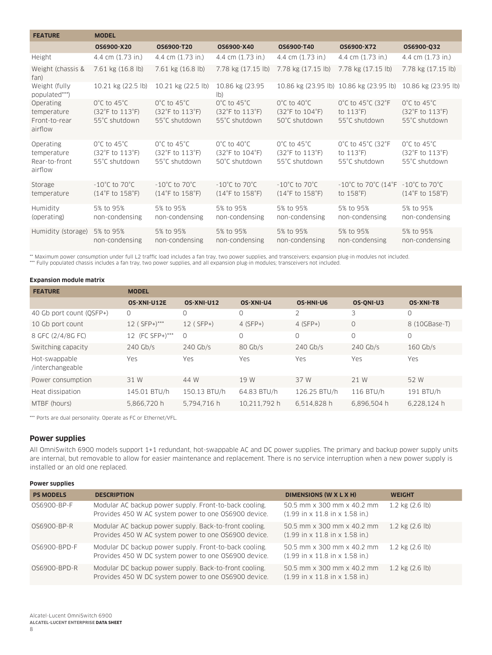| <b>FEATURE</b>                                       | <b>MODEL</b>                                                                                  |                                                                      |                                                                      |                                                                                               |                                                                  |                                                                      |
|------------------------------------------------------|-----------------------------------------------------------------------------------------------|----------------------------------------------------------------------|----------------------------------------------------------------------|-----------------------------------------------------------------------------------------------|------------------------------------------------------------------|----------------------------------------------------------------------|
|                                                      | OS6900-X20                                                                                    | OS6900-T20                                                           | OS6900-X40                                                           | OS6900-T40                                                                                    | OS6900-X72                                                       | OS6900-032                                                           |
| Height                                               | 4.4 cm (1.73 in.)                                                                             | 4.4 cm (1.73 in.)                                                    | 4.4 cm (1.73 in.)                                                    | 4.4 cm (1.73 in.)                                                                             | 4.4 cm (1.73 in.)                                                | 4.4 cm (1.73 in.)                                                    |
| Weight (chassis &<br>fan)                            | 7.61 kg (16.8 lb)                                                                             | 7.61 kg (16.8 lb)                                                    | 7.78 kg (17.15 lb)                                                   | 7.78 kg (17.15 lb)                                                                            | 7.78 kg (17.15 lb)                                               | 7.78 kg (17.15 lb)                                                   |
| Weight (fully<br>populated***)                       | 10.21 kg (22.5 lb)                                                                            | 10.21 kg (22.5 lb)                                                   | 10.86 kg (23.95<br>$ b\rangle$                                       |                                                                                               | 10.86 kg (23.95 lb) 10.86 kg (23.95 lb)                          | 10.86 kg (23.95 lb)                                                  |
| Operating<br>temperature<br>Front-to-rear<br>airflow | $0^{\circ}$ C to 45 $^{\circ}$ C<br>(32°F to 113°F)<br>55°C shutdown                          | $0^{\circ}$ C to 45 $^{\circ}$ C<br>(32°F to 113°F)<br>55°C shutdown | $0^{\circ}$ C to 45 $^{\circ}$ C<br>(32°F to 113°F)<br>55°C shutdown | $0^{\circ}$ C to 40 $^{\circ}$ C<br>(32°F to 104°F)<br>50°C shutdown                          | 0°C to 45°C (32°F<br>to $113^{\circ}F$ )<br>55°C shutdown        | $0^{\circ}$ C to 45 $^{\circ}$ C<br>(32°F to 113°F)<br>55°C shutdown |
| Operating<br>temperature<br>Rear-to-front<br>airflow | $0^{\circ}$ C to 45 $^{\circ}$ C<br>$(32^{\circ}F \text{ to } 113^{\circ}F)$<br>55°C shutdown | $0^{\circ}$ C to 45 $^{\circ}$ C<br>(32°F to 113°F)<br>55°C shutdown | O°C to 40°C<br>(32°F to 104°F)<br>50°C shutdown                      | $0^{\circ}$ C to 45 $^{\circ}$ C<br>$(32^{\circ}F \text{ to } 113^{\circ}F)$<br>55°C shutdown | 0°C to 45°C (32°F<br>to $113^\circ F$ )<br>55°C shutdown         | $0^{\circ}$ C to 45 $^{\circ}$ C<br>(32°F to 113°F)<br>55°C shutdown |
| Storage<br>temperature                               | $-10^{\circ}$ C to 70 $^{\circ}$ C<br>(14°F to 158°F)                                         | $-10^{\circ}$ C to 70 $^{\circ}$ C<br>(14°F to 158°F)                | $-10^{\circ}$ C to 70 $^{\circ}$ C<br>(14°F to 158°F)                | $-10^{\circ}$ C to 70 $^{\circ}$ C<br>(14°F to 158°F)                                         | $-10^{\circ}$ C to 70 $^{\circ}$ C (14 $^{\circ}$ F<br>to 158°F) | $-10^{\circ}$ C to 70 $^{\circ}$ C<br>(14°F to 158°F)                |
| Humidity<br>(operating)                              | 5% to 95%<br>non-condensing                                                                   | 5% to 95%<br>non-condensing                                          | 5% to 95%<br>non-condensing                                          | 5% to 95%<br>non-condensing                                                                   | 5% to 95%<br>non-condensing                                      | 5% to 95%<br>non-condensing                                          |
| Humidity (storage)                                   | 5% to 95%<br>non-condensing                                                                   | 5% to 95%<br>non-condensing                                          | 5% to 95%<br>non-condensing                                          | 5% to 95%<br>non-condensing                                                                   | 5% to 95%<br>non-condensing                                      | 5% to 95%<br>non-condensing                                          |

\*\* Maximum power consumption under full L2 traffic load includes a fan tray, two power supplies, and transceivers; expansion plug-in modules not included.<br>\*\*\* Fully populated chassis includes a fan tray, two power supplies

#### **Expansion module matrix**

| <b>FEATURE</b>                    | <b>MODEL</b>    |              |              |                  |             |               |
|-----------------------------------|-----------------|--------------|--------------|------------------|-------------|---------------|
|                                   | OS-XNI-U12E     | OS-XNI-U12   | OS-XNI-U4    | <b>OS-HNI-U6</b> | OS-ONI-U3   | OS-XNI-T8     |
| 40 Gb port count (QSFP+)          | 0               | 0            | 0            | 2                | 3           | 0             |
| 10 Gb port count                  | 12 (SFP+)***    | $12$ (SFP+)  | $4(SFP+)$    | $4(SFP+)$        | $\circ$     | 8 (10GBase-T) |
| 8 GFC (2/4/8G FC)                 | 12 (FC SFP+)*** | $\circ$      | 0            | 0                | 0           | 0             |
| Switching capacity                | $240$ Gb/s      | $240$ Gb/s   | 80 Gb/s      | $240$ Gb/s       | $240$ Gb/s  | $160$ Gb/s    |
| Hot-swappable<br>/interchangeable | Yes             | Yes          | Yes          | Yes              | Yes         | Yes           |
| Power consumption                 | 31 W            | 44 W         | 19 W         | 37 W             | 21 W        | 52 W          |
| Heat dissipation                  | 145.01 BTU/h    | 150.13 BTU/h | 64.83 BTU/h  | 126.25 BTU/h     | 116 BTU/h   | 191 BTU/h     |
| MTBF (hours)                      | 5,866,720 h     | 5.794.716 h  | 10.211.792 h | 6,514,828 h      | 6,896,504 h | 6,228,124 h   |

\*\*\* Ports are dual personality. Operate as FC or Ethernet/VFL.

#### **Power supplies**

All OmniSwitch 6900 models support 1+1 redundant, hot-swappable AC and DC power supplies. The primary and backup power supply units are internal, but removable to allow for easier maintenance and replacement. There is no service interruption when a new power supply is installed or an old one replaced.

#### **Power supplies**

| <b>PS MODELS</b> | <b>DESCRIPTION</b>                                                                                             | DIMENSIONS (W X L X H)                                                                          | <b>WEIGHT</b>       |
|------------------|----------------------------------------------------------------------------------------------------------------|-------------------------------------------------------------------------------------------------|---------------------|
| 0S6900-BP-F      | Modular AC backup power supply. Front-to-back cooling.<br>Provides 450 W AC system power to one OS6900 device. | 50.5 mm x 300 mm x 40.2 mm<br>$(1.99$ in x 11.8 in x 1.58 in.)                                  | $1.2$ kg $(2.6)$    |
| 0S6900-BP-R      | Modular AC backup power supply. Back-to-front cooling.<br>Provides 450 W AC system power to one OS6900 device. | 50.5 mm x 300 mm x 40.2 mm<br>$(1.99$ in x 11.8 in x 1.58 in.)                                  | $1.2$ kg $(2.6$ lb) |
| 0S6900-BPD-F     | Modular DC backup power supply. Front-to-back cooling.<br>Provides 450 W DC system power to one OS6900 device. | 50.5 mm x 300 mm x 40.2 mm<br>$(1.99$ in x 11.8 in x 1.58 in.)                                  | $1.2$ kg $(2.6)$    |
| 0S6900-BPD-R     | Modular DC backup power supply. Back-to-front cooling.<br>Provides 450 W DC system power to one OS6900 device. | 50.5 mm x 300 mm x 40.2 mm<br>$(1.99 \text{ in} \times 11.8 \text{ in} \times 1.58 \text{ in})$ | $1.2$ kg $(2.6$ lb) |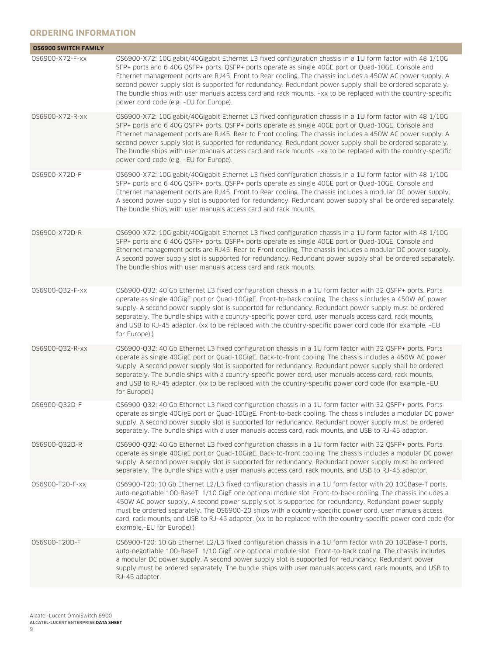# **ORDERING INFORMATION**

| <b>OS6900 SWITCH FAMILY</b> |                                                                                                                                                                                                                                                                                                                                                                                                                                                                                                                                                                                                      |
|-----------------------------|------------------------------------------------------------------------------------------------------------------------------------------------------------------------------------------------------------------------------------------------------------------------------------------------------------------------------------------------------------------------------------------------------------------------------------------------------------------------------------------------------------------------------------------------------------------------------------------------------|
| 0S6900-X72-F-xx             | OS6900-X72: 10Gigabit/40Gigabit Ethernet L3 fixed configuration chassis in a 1U form factor with 48 1/10G<br>SFP+ ports and 6 40G QSFP+ ports. QSFP+ ports operate as single 40GE port or Quad-10GE. Console and<br>Ethernet management ports are RJ45. Front to Rear cooling. The chassis includes a 450W AC power supply. A<br>second power supply slot is supported for redundancy. Redundant power supply shall be ordered separately.<br>The bundle ships with user manuals access card and rack mounts. -xx to be replaced with the country-specific<br>power cord code (e.g. -EU for Europe). |
| 0S6900-X72-R-xx             | OS6900-X72: 10Gigabit/40Gigabit Ethernet L3 fixed configuration chassis in a 1U form factor with 48 1/10G<br>SFP+ ports and 6 40G QSFP+ ports. QSFP+ ports operate as single 40GE port or Quad-10GE. Console and<br>Ethernet management ports are RJ45. Rear to Front cooling. The chassis includes a 450W AC power supply. A<br>second power supply slot is supported for redundancy. Redundant power supply shall be ordered separately.<br>The bundle ships with user manuals access card and rack mounts. -xx to be replaced with the country-specific<br>power cord code (e.g. -EU for Europe). |
| 0S6900-X72D-F               | OS6900-X72: 10Gigabit/40Gigabit Ethernet L3 fixed configuration chassis in a 1U form factor with 48 1/10G<br>SFP+ ports and 6 40G QSFP+ ports. QSFP+ ports operate as single 40GE port or Quad-10GE. Console and<br>Ethernet management ports are RJ45. Front to Rear cooling. The chassis includes a modular DC power supply.<br>A second power supply slot is supported for redundancy. Redundant power supply shall be ordered separately.<br>The bundle ships with user manuals access card and rack mounts.                                                                                     |
| 0S6900-X72D-R               | OS6900-X72: 10Gigabit/40Gigabit Ethernet L3 fixed configuration chassis in a 1U form factor with 48 1/10G<br>SFP+ ports and 6 40G QSFP+ ports. QSFP+ ports operate as single 40GE port or Quad-10GE. Console and<br>Ethernet management ports are RJ45. Rear to Front cooling. The chassis includes a modular DC power supply.<br>A second power supply slot is supported for redundancy. Redundant power supply shall be ordered separately.<br>The bundle ships with user manuals access card and rack mounts.                                                                                     |
| 0S6900-Q32-F-xx             | OS6900-Q32: 40 Gb Ethernet L3 fixed configuration chassis in a 1U form factor with 32 QSFP+ ports. Ports<br>operate as single 40GigE port or Quad-10GigE. Front-to-back cooling. The chassis includes a 450W AC power<br>supply. A second power supply slot is supported for redundancy. Redundant power supply must be ordered<br>separately. The bundle ships with a country-specific power cord, user manuals access card, rack mounts,<br>and USB to RJ-45 adaptor. (xx to be replaced with the country-specific power cord code (for example, -EU<br>for Europe).)                              |
| 0S6900-Q32-R-xx             | OS6900-Q32: 40 Gb Ethernet L3 fixed configuration chassis in a 1U form factor with 32 QSFP+ ports. Ports<br>operate as single 40GigE port or Quad-10GigE. Back-to-front cooling. The chassis includes a 450W AC power<br>supply. A second power supply slot is supported for redundancy. Redundant power supply shall be ordered<br>separately. The bundle ships with a country-specific power cord, user manuals access card, rack mounts,<br>and USB to RJ-45 adaptor. (xx to be replaced with the country-specific power cord code (for example,-EU<br>for Europe).)                              |
| 0S6900-Q32D-F               | OS6900-Q32: 40 Gb Ethernet L3 fixed configuration chassis in a 1U form factor with 32 QSFP+ ports. Ports<br>operate as single 40GigE port or Quad-10GigE. Front-to-back cooling. The chassis includes a modular DC power<br>supply. A second power supply slot is supported for redundancy. Redundant power supply must be ordered<br>separately. The bundle ships with a user manuals access card, rack mounts, and USB to RJ-45 adaptor.                                                                                                                                                           |
| 0S6900-032D-R               | OS6900-Q32: 40 Gb Ethernet L3 fixed configuration chassis in a 1U form factor with 32 QSFP+ ports. Ports<br>operate as single 40GigE port or Quad-10GigE. Back-to-front cooling. The chassis includes a modular DC power<br>supply. A second power supply slot is supported for redundancy. Redundant power supply must be ordered<br>separately. The bundle ships with a user manuals access card, rack mounts, and USB to RJ-45 adaptor.                                                                                                                                                           |
| 0S6900-T20-F-xx             | OS6900-T20: 10 Gb Ethernet L2/L3 fixed configuration chassis in a 1U form factor with 20 10GBase-T ports,<br>auto-negotiable 100-BaseT, 1/10 GigE one optional module slot. Front-to-back cooling. The chassis includes a<br>450W AC power supply. A second power supply slot is supported for redundancy. Redundant power supply<br>must be ordered separately. The OS6900-20 ships with a country-specific power cord, user manuals access<br>card, rack mounts, and USB to RJ-45 adapter. (xx to be replaced with the country-specific power cord code (for<br>example,-EU for Europe).)          |
| 0S6900-T20D-F               | OS6900-T20: 10 Gb Ethernet L2/L3 fixed configuration chassis in a 1U form factor with 20 10GBase-T ports,<br>auto-negotiable 100-BaseT, 1/10 GigE one optional module slot. Front-to-back cooling. The chassis includes<br>a modular DC power supply. A second power supply slot is supported for redundancy. Redundant power<br>supply must be ordered separately. The bundle ships with user manuals access card, rack mounts, and USB to<br>RJ-45 adapter.                                                                                                                                        |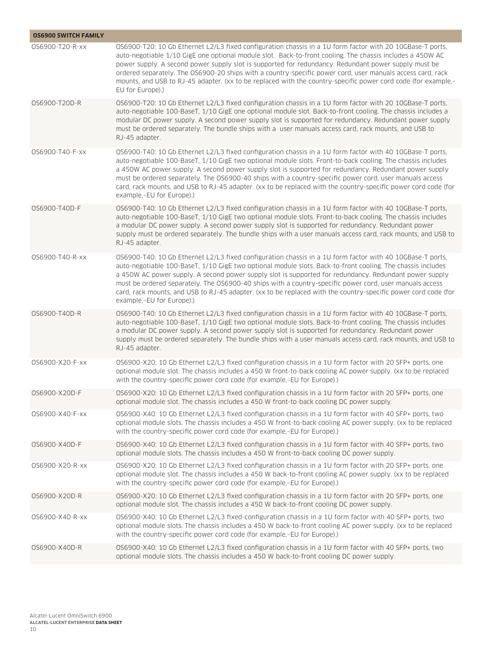| <b>OS6900 SWITCH FAMILY</b> |                                                                                                                                                                                                                                                                                                                                                                                                                                                                                                                                                                                              |
|-----------------------------|----------------------------------------------------------------------------------------------------------------------------------------------------------------------------------------------------------------------------------------------------------------------------------------------------------------------------------------------------------------------------------------------------------------------------------------------------------------------------------------------------------------------------------------------------------------------------------------------|
| 0S6900-T20-R-xx             | OS6900-T20: 10 Gb Ethernet L2/L3 fixed configuration chassis in a 1U form factor with 20 10GBase-T ports,<br>auto-negotiable 1/10 GigE one optional module slot. Back-to-front cooling. The chassis includes a 450W AC<br>power supply. A second power supply slot is supported for redundancy. Redundant power supply must be<br>ordered separately. The OS6900-20 ships with a country-specific power cord, user manuals access card, rack<br>mounts, and USB to RJ-45 adapter. (xx to be replaced with the country-specific power cord code (for example,-<br>EU for Europe).)            |
| 0S6900-T20D-R               | OS6900-T20: 10 Gb Ethernet L2/L3 fixed configuration chassis in a 1U form factor with 20 10GBase-T ports,<br>auto-negotiable 100-BaseT, 1/10 GigE one optional module slot. Back-to-front cooling. The chassis includes a<br>modular DC power supply. A second power supply slot is supported for redundancy. Redundant power supply<br>must be ordered separately. The bundle ships with a user manuals access card, rack mounts, and USB to<br>RJ-45 adapter.                                                                                                                              |
| 0S6900-T40-F-xx             | OS6900-T40: 10 Gb Ethernet L2/L3 fixed configuration chassis in a 1U form factor with 40 10GBase-T ports,<br>auto-negotiable 100-BaseT, 1/10 GigE two optional module slots. Front-to-back cooling. The chassis includes<br>a 450W AC power supply. A second power supply slot is supported for redundancy. Redundant power supply<br>must be ordered separately. The OS6900-40 ships with a country-specific power cord, user manuals access<br>card, rack mounts, and USB to RJ-45 adapter. (xx to be replaced with the country-specific power cord code (for<br>example,-EU for Europe).) |
| 0S6900-T40D-F               | OS6900-T40: 10 Gb Ethernet L2/L3 fixed configuration chassis in a 1U form factor with 40 10GBase-T ports,<br>auto-negotiable 100-BaseT, 1/10 GigE two optional module slots. Front-to-back cooling. The chassis includes<br>a modular DC power supply. A second power supply slot is supported for redundancy. Redundant power<br>supply must be ordered separately. The bundle ships with a user manuals access card, rack mounts, and USB to<br>RJ-45 adapter.                                                                                                                             |
| 0S6900-T40-R-xx             | OS6900-T40: 10 Gb Ethernet L2/L3 fixed configuration chassis in a 1U form factor with 40 10GBase-T ports,<br>auto-negotiable 100-BaseT, 1/10 GigE two optional module slots. Back-to-front cooling. The chassis includes<br>a 450W AC power supply. A second power supply slot is supported for redundancy. Redundant power supply<br>must be ordered separately. The OS6900-40 ships with a country-specific power cord, user manuals access<br>card, rack mounts, and USB to RJ-45 adapter. (xx to be replaced with the country-specific power cord code (for<br>example,-EU for Europe).) |
| 0S6900-T40D-R               | OS6900-T40: 10 Gb Ethernet L2/L3 fixed configuration chassis in a 1U form factor with 40 10GBase-T ports,<br>auto-negotiable 100-BaseT, 1/10 GigE two optional module slots. Back-to-front cooling. The chassis includes<br>a modular DC power supply. A second power supply slot is supported for redundancy. Redundant power<br>supply must be ordered separately. The bundle ships with a user manuals access card, rack mounts, and USB to<br>RJ-45 adapter.                                                                                                                             |
| 0S6900-X20-F-xx             | OS6900-X20: 10 Gb Ethernet L2/L3 fixed configuration chassis in a 1U form factor with 20 SFP+ ports, one<br>optional module slot. The chassis includes a 450 W front-to-back cooling AC power supply. (xx to be replaced<br>with the country-specific power cord code (for example,-EU for Europe).)                                                                                                                                                                                                                                                                                         |
| 0S6900-X20D-F               | OS6900-X20: 10 Gb Ethernet L2/L3 fixed configuration chassis in a 1U form factor with 20 SFP+ ports, one<br>optional module slot. The chassis includes a 450 W front-to-back cooling DC power supply.                                                                                                                                                                                                                                                                                                                                                                                        |
| 0S6900-X40-F-xx             | OS6900-X40: 10 Gb Ethernet L2/L3 fixed configuration chassis in a 1U form factor with 40 SFP+ ports, two<br>optional module slots. The chassis includes a 450 W front-to-back cooling AC power supply. (xx to be replaced<br>with the country-specific power cord code (for example,-EU for Europe).)                                                                                                                                                                                                                                                                                        |
| OS6900-X40D-F               | OS6900-X40: 10 Gb Ethernet L2/L3 fixed configuration chassis in a 1U form factor with 40 SFP+ ports, two<br>optional module slots. The chassis includes a 450 W front-to-back cooling DC power supply.                                                                                                                                                                                                                                                                                                                                                                                       |
| 0S6900-X20-R-xx             | OS6900-X20: 10 Gb Ethernet L2/L3 fixed configuration chassis in a 1U form factor with 20 SFP+ ports, one<br>optional module slot. The chassis includes a 450 W back-to-front cooling AC power supply. (xx to be replaced<br>with the country-specific power cord code (for example,-EU for Europe).)                                                                                                                                                                                                                                                                                         |
| 0S6900-X20D-R               | OS6900-X20: 10 Gb Ethernet L2/L3 fixed configuration chassis in a 1U form factor with 20 SFP+ ports, one<br>optional module slot. The chassis includes a 450 W back-to-front cooling DC power supply.                                                                                                                                                                                                                                                                                                                                                                                        |
| 0S6900-X40-R-xx             | OS6900-X40: 10 Gb Ethernet L2/L3 fixed-configuration chassis in a 1U form factor with 40 SFP+ ports, two<br>optional module slots. The chassis includes a 450 W back-to-front cooling AC power supply. (xx to be replaced<br>with the country-specific power cord code (for example,-EU for Europe).)                                                                                                                                                                                                                                                                                        |
| 0S6900-X40D-R               | OS6900-X40: 10 Gb Ethernet L2/L3 fixed configuration chassis in a 1U form factor with 40 SFP+ ports, two<br>optional module slots. The chassis includes a 450 W back-to-front cooling DC power supply.                                                                                                                                                                                                                                                                                                                                                                                       |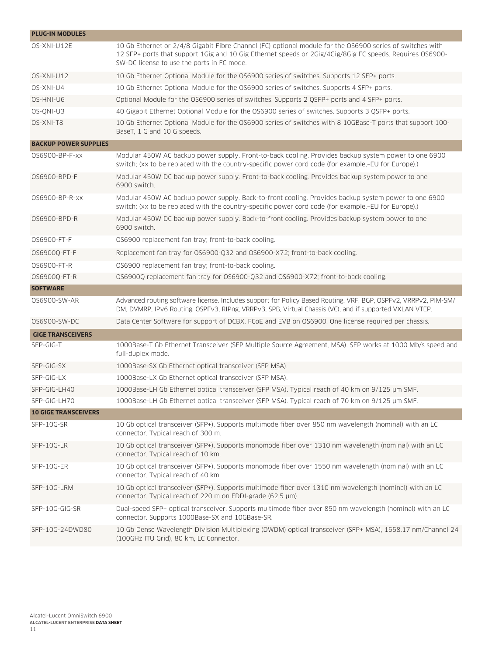| <b>PLUG-IN MODULES</b>       |                                                                                                                                                                                                                                                                     |
|------------------------------|---------------------------------------------------------------------------------------------------------------------------------------------------------------------------------------------------------------------------------------------------------------------|
| OS-XNI-U12E                  | 10 Gb Ethernet or 2/4/8 Gigabit Fibre Channel (FC) optional module for the OS6900 series of switches with<br>12 SFP+ ports that support 1Gig and 10 Gig Ethernet speeds or 2Gig/4Gig/8Gig FC speeds. Requires OS6900-<br>SW-DC license to use the ports in FC mode. |
| OS-XNI-U12                   | 10 Gb Ethernet Optional Module for the OS6900 series of switches. Supports 12 SFP+ ports.                                                                                                                                                                           |
| OS-XNI-U4                    | 10 Gb Ethernet Optional Module for the OS6900 series of switches. Supports 4 SFP+ ports.                                                                                                                                                                            |
| OS-HNI-U6                    | Optional Module for the OS6900 series of switches. Supports 2 QSFP+ ports and 4 SFP+ ports.                                                                                                                                                                         |
| OS-QNI-U3                    | 40 Gigabit Ethernet Optional Module for the OS6900 series of switches. Supports 3 QSFP+ ports.                                                                                                                                                                      |
| OS-XNI-T8                    | 10 Gb Ethernet Optional Module for the OS6900 series of switches with 8 10GBase-T ports that support 100-<br>BaseT, 1 G and 10 G speeds.                                                                                                                            |
| <b>BACKUP POWER SUPPLIES</b> |                                                                                                                                                                                                                                                                     |
| 0S6900-BP-F-xx               | Modular 450W AC backup power supply. Front-to-back cooling. Provides backup system power to one 6900<br>switch; (xx to be replaced with the country-specific power cord code (for example,-EU for Europe).)                                                         |
| 0S6900-BPD-F                 | Modular 450W DC backup power supply. Front-to-back cooling. Provides backup system power to one<br>6900 switch.                                                                                                                                                     |
| 0S6900-BP-R-xx               | Modular 450W AC backup power supply. Back-to-front cooling. Provides backup system power to one 6900<br>switch; (xx to be replaced with the country-specific power cord code (for example,-EU for Europe).)                                                         |
| 0S6900-BPD-R                 | Modular 450W DC backup power supply. Back-to-front cooling. Provides backup system power to one<br>6900 switch.                                                                                                                                                     |
| 0S6900-FT-F                  | OS6900 replacement fan tray; front-to-back cooling.                                                                                                                                                                                                                 |
| 0S6900Q-FT-F                 | Replacement fan tray for OS6900-Q32 and OS6900-X72; front-to-back cooling.                                                                                                                                                                                          |
| 0S6900-FT-R                  | OS6900 replacement fan tray; front-to-back cooling.                                                                                                                                                                                                                 |
| 0S6900Q-FT-R                 | OS6900Q replacement fan tray for OS6900-Q32 and OS6900-X72; front-to-back cooling.                                                                                                                                                                                  |
| <b>SOFTWARE</b>              |                                                                                                                                                                                                                                                                     |
| 0S6900-SW-AR                 | Advanced routing software license. Includes support for Policy Based Routing, VRF, BGP, OSPFv2, VRRPv2, PIM-SM/<br>DM, DVMRP, IPv6 Routing, OSPFv3, RIPng, VRRPv3, SPB, Virtual Chassis (VC), and if supported VXLAN VTEP.                                          |
| 0S6900-SW-DC                 | Data Center Software for support of DCBX, FCoE and EVB on OS6900. One license required per chassis.                                                                                                                                                                 |
| <b>GIGE TRANSCEIVERS</b>     |                                                                                                                                                                                                                                                                     |
| SFP-GIG-T                    | 1000Base-T Gb Ethernet Transceiver (SFP Multiple Source Agreement, MSA). SFP works at 1000 Mb/s speed and<br>full-duplex mode.                                                                                                                                      |
| SFP-GIG-SX                   | 1000Base-SX Gb Ethernet optical transceiver (SFP MSA).                                                                                                                                                                                                              |
| SFP-GIG-LX                   | 1000Base-LX Gb Ethernet optical transceiver (SFP MSA).                                                                                                                                                                                                              |
| SFP-GIG-LH40                 | 1000Base-LH Gb Ethernet optical transceiver (SFP MSA). Typical reach of 40 km on 9/125 µm SMF.                                                                                                                                                                      |
| SFP-GIG-LH70                 | 1000Base-LH Gb Ethernet optical transceiver (SFP MSA). Typical reach of 70 km on 9/125 µm SMF.                                                                                                                                                                      |
| <b>10 GIGE TRANSCEIVERS</b>  |                                                                                                                                                                                                                                                                     |
| SFP-10G-SR                   | 10 Gb optical transceiver (SFP+). Supports multimode fiber over 850 nm wavelength (nominal) with an LC<br>connector. Typical reach of 300 m.                                                                                                                        |
| SFP-10G-LR                   | 10 Gb optical transceiver (SFP+). Supports monomode fiber over 1310 nm wavelength (nominal) with an LC<br>connector. Typical reach of 10 km.                                                                                                                        |
| SFP-10G-ER                   | 10 Gb optical transceiver (SFP+). Supports monomode fiber over 1550 nm wavelength (nominal) with an LC<br>connector. Typical reach of 40 km.                                                                                                                        |
| SFP-10G-LRM                  | 10 Gb optical transceiver (SFP+). Supports multimode fiber over 1310 nm wavelength (nominal) with an LC<br>connector. Typical reach of 220 m on FDDI-grade (62.5 µm).                                                                                               |
| SFP-10G-GIG-SR               | Dual-speed SFP+ optical transceiver. Supports multimode fiber over 850 nm wavelength (nominal) with an LC<br>connector. Supports 1000Base-SX and 10GBase-SR.                                                                                                        |
| SFP-10G-24DWD80              | 10 Gb Dense Wavelength Division Multiplexing (DWDM) optical transceiver (SFP+ MSA), 1558.17 nm/Channel 24<br>(100GHz ITU Grid), 80 km, LC Connector.                                                                                                                |